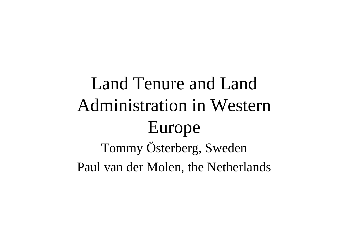## Land Tenure and LandAdministration in Western Europe Tommy Österberg, Sweden Paul van der Molen, the Netherlands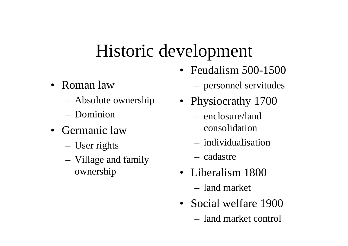### Historic development

- Roman law
	- –Absolute ownership
	- Dominion
- Germanic law
	- –User rights
	- – Village and family ownership
- Feudalism 500-1500
	- personnel servitudes
- Physiocrathy 1700
	- enclosure/landconsolidation
	- individualisation
	- cadastre
- Liberalism 1800– land market
- Social welfare 1900
	- land market control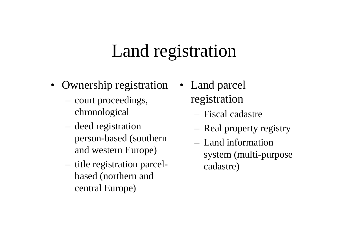## Land registration

- Ownership registration Land parcel
	- – court proceedings, chronological
	- – deed registration person-based (southern and western Europe)
	- – title registration parcelbased (northern and central Europe)
- registration
	- Fiscal cadastre
	- Real property registry
	- Land informationsystem (multi-purpose cadastre)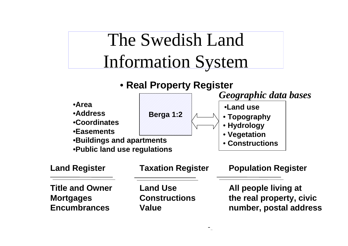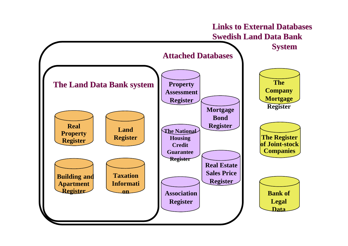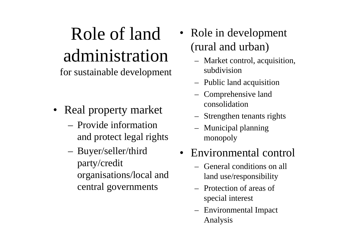# Role of landadministration

for sustainable development

- Real property market
	- Provide informationand protect legal rights
	- – Buyer/seller/third party/credit organisations/local and central governments
- • Role in development (rural and urban)
	- Market control, acquisition, subdivision
	- Public land acquisition
	- Comprehensive land consolidation
	- Strengthen tenants rights
	- Municipal planning monopoly

#### • Environmental control

- General conditions on allland use/responsibility
- Protection of areas ofspecial interest
- Environmental Impact Analysis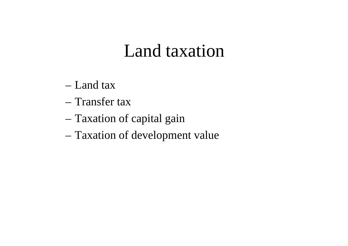### Land taxation

- Land tax
- Transfer tax
- Taxation of capital gain
- Taxation of development value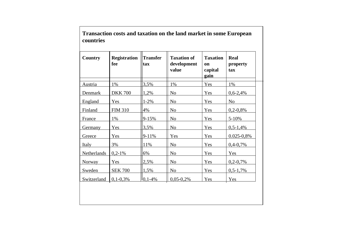| <b>Country</b> | <b>Registration</b><br>fee | <b>Transfer</b><br>tax | <b>Taxation of</b><br>development<br>value | <b>Taxation</b><br>on<br>capital<br>gain | Real<br>property<br>tax |
|----------------|----------------------------|------------------------|--------------------------------------------|------------------------------------------|-------------------------|
| Austria        | 1%                         | 3,5%                   | 1%                                         | Yes                                      | 1%                      |
| Denmark        | <b>DKK 700</b>             | 1,2%                   | N <sub>o</sub>                             | Yes                                      | $0,6-2,4%$              |
| England        | Yes                        | $1 - 2%$               | N <sub>o</sub>                             | Yes                                      | N <sub>o</sub>          |
| Finland        | <b>FIM 310</b>             | 4%                     | No                                         | Yes                                      | $0,2-0,8%$              |
| France         | 1%                         | $9 - 15%$              | N <sub>o</sub>                             | Yes                                      | $5 - 10%$               |
| <b>Germany</b> | Yes                        | 3,5%                   | No                                         | Yes                                      | $0,5-1,4%$              |
| Greece         | Yes                        | $9 - 11%$              | Yes                                        | Yes                                      | $0.025 - 0.8\%$         |
| <b>Italy</b>   | 3%                         | 11%                    | N <sub>o</sub>                             | Yes                                      | $0,4-0,7%$              |
| Netherlands    | $0,2-1%$                   | 6%                     | N <sub>o</sub>                             | Yes                                      | Yes                     |
| Norway         | Yes                        | 2,5%                   | N <sub>0</sub>                             | Yes                                      | $0,2-0,7%$              |
| Sweden         | <b>SEK 700</b>             | 1,5%                   | No                                         | Yes                                      | $0,5-1,7%$              |
| Switzerland    | $0,1-0,3%$                 | $10,1-4%$              | $0,05-0,2%$                                | Yes                                      | Yes                     |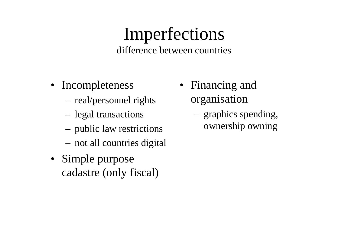#### Imperfections difference between countries

- Incompleteness
	- –real/personnel rights
	- –legal transactions
	- –public law restrictions
	- –not all countries digital
- Simple purpose cadastre (only fiscal)
- Financing and organisation
	- graphics spending, ownership owning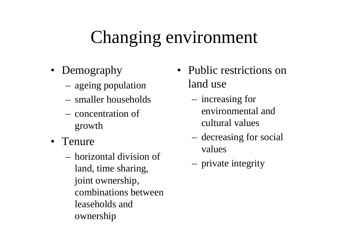# Changing environment

- Demography
	- –ageing population
	- smaller households
	- concentration ofgrowth
- Tenure
	- horizontal division ofland, time sharing, joint ownership, combinations betweenleaseholds andownership
- Public restrictions on land use
	- increasing for environmental andcultural values
	- decreasing for social values
	- private integrity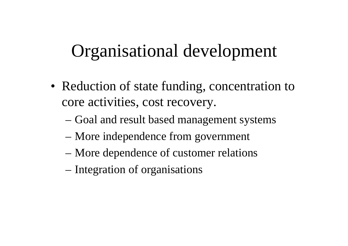## Organisational development

- Reduction of state funding, concentration to core activities, cost recovery.
	- Goal and result based management systems
	- More independence from government
	- More dependence of customer relations
	- Integration of organisations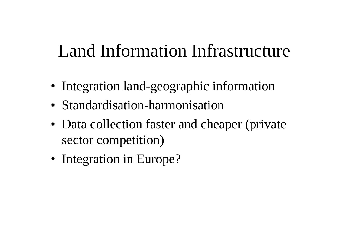## Land Information Infrastructure

- Integration land-geographic information
- Standardisation-harmonisation
- Data collection faster and cheaper (private sector competition)
- Integration in Europe?